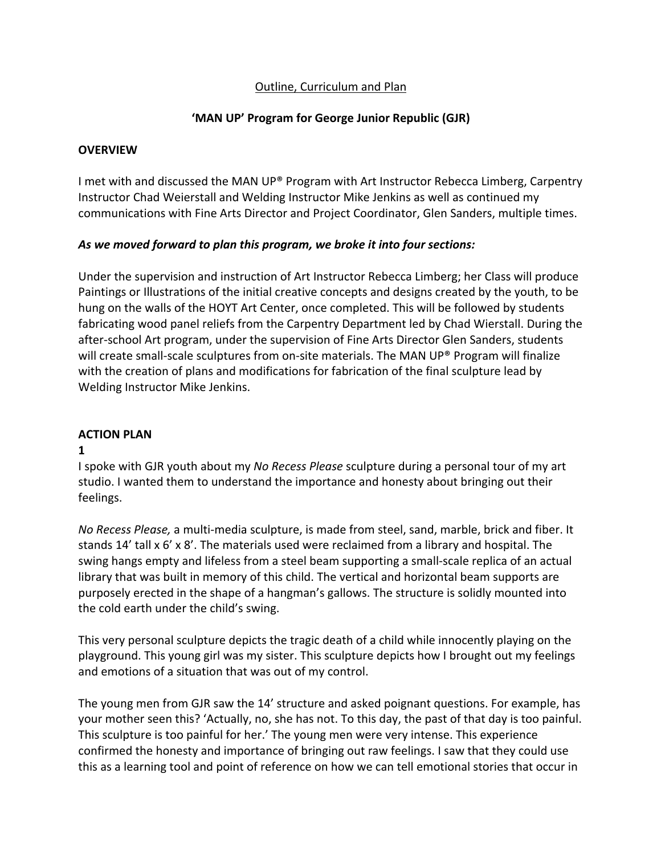# Outline, Curriculum and Plan

# **'MAN UP' Program for George Junior Republic (GJR)**

### **OVERVIEW**

I met with and discussed the MAN UP® Program with Art Instructor Rebecca Limberg, Carpentry Instructor Chad Weierstall and Welding Instructor Mike Jenkins as well as continued my communications with Fine Arts Director and Project Coordinator, Glen Sanders, multiple times.

### *As we moved forward to plan this program, we broke it into four sections:*

Under the supervision and instruction of Art Instructor Rebecca Limberg; her Class will produce Paintings or Illustrations of the initial creative concepts and designs created by the youth, to be hung on the walls of the HOYT Art Center, once completed. This will be followed by students fabricating wood panel reliefs from the Carpentry Department led by Chad Wierstall. During the after-school Art program, under the supervision of Fine Arts Director Glen Sanders, students will create small-scale sculptures from on-site materials. The MAN UP® Program will finalize with the creation of plans and modifications for fabrication of the final sculpture lead by Welding Instructor Mike Jenkins.

### **ACTION PLAN**

### **1**

I spoke with GJR youth about my *No Recess Please* sculpture during a personal tour of my art studio. I wanted them to understand the importance and honesty about bringing out their feelings.

*No Recess Please,* a multi-media sculpture, is made from steel, sand, marble, brick and fiber. It stands 14' tall x 6' x 8'. The materials used were reclaimed from a library and hospital. The swing hangs empty and lifeless from a steel beam supporting a small-scale replica of an actual library that was built in memory of this child. The vertical and horizontal beam supports are purposely erected in the shape of a hangman's gallows. The structure is solidly mounted into the cold earth under the child's swing.

This very personal sculpture depicts the tragic death of a child while innocently playing on the playground. This young girl was my sister. This sculpture depicts how I brought out my feelings and emotions of a situation that was out of my control.

The young men from GJR saw the 14' structure and asked poignant questions. For example, has your mother seen this? 'Actually, no, she has not. To this day, the past of that day is too painful. This sculpture is too painful for her.' The young men were very intense. This experience confirmed the honesty and importance of bringing out raw feelings. I saw that they could use this as a learning tool and point of reference on how we can tell emotional stories that occur in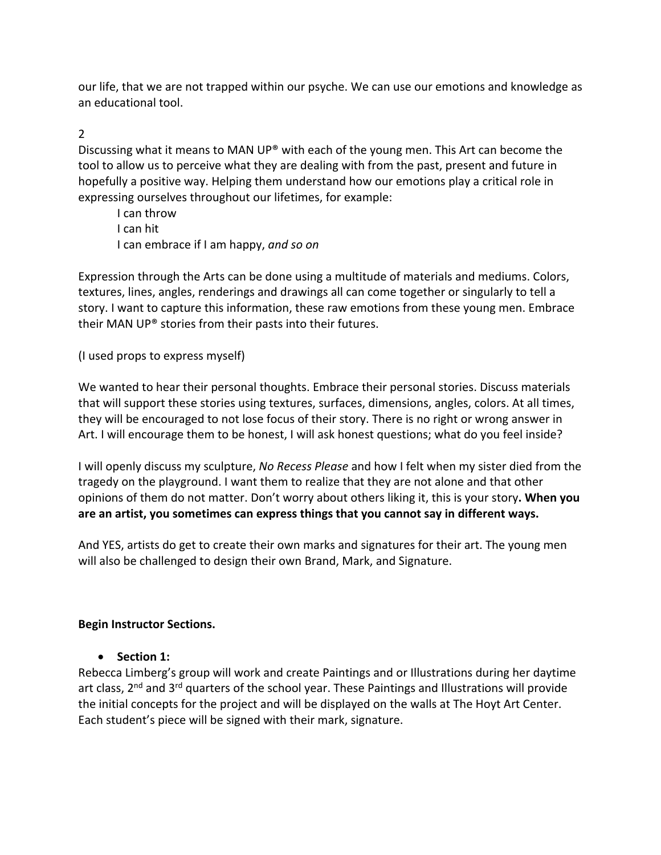our life, that we are not trapped within our psyche. We can use our emotions and knowledge as an educational tool.

## 2

Discussing what it means to MAN UP® with each of the young men. This Art can become the tool to allow us to perceive what they are dealing with from the past, present and future in hopefully a positive way. Helping them understand how our emotions play a critical role in expressing ourselves throughout our lifetimes, for example:

I can throw I can hit I can embrace if I am happy, *and so on*

Expression through the Arts can be done using a multitude of materials and mediums. Colors, textures, lines, angles, renderings and drawings all can come together or singularly to tell a story. I want to capture this information, these raw emotions from these young men. Embrace their MAN UP® stories from their pasts into their futures.

(I used props to express myself)

We wanted to hear their personal thoughts. Embrace their personal stories. Discuss materials that will support these stories using textures, surfaces, dimensions, angles, colors. At all times, they will be encouraged to not lose focus of their story. There is no right or wrong answer in Art. I will encourage them to be honest, I will ask honest questions; what do you feel inside?

I will openly discuss my sculpture, *No Recess Please* and how I felt when my sister died from the tragedy on the playground. I want them to realize that they are not alone and that other opinions of them do not matter. Don't worry about others liking it, this is your story**. When you are an artist, you sometimes can express things that you cannot say in different ways.**

And YES, artists do get to create their own marks and signatures for their art. The young men will also be challenged to design their own Brand, Mark, and Signature.

### **Begin Instructor Sections.**

• **Section 1:**

Rebecca Limberg's group will work and create Paintings and or Illustrations during her daytime art class, 2<sup>nd</sup> and 3<sup>rd</sup> quarters of the school year. These Paintings and Illustrations will provide the initial concepts for the project and will be displayed on the walls at The Hoyt Art Center. Each student's piece will be signed with their mark, signature.